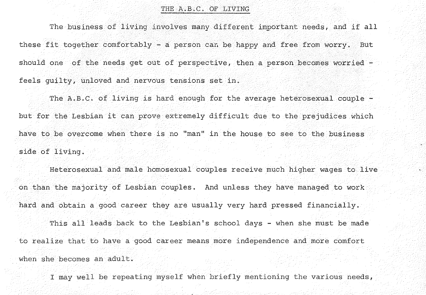## THE A.B.C. OF LIVING

The business of living involves many different important needs, and if **all**  these fit together comfortably - a person *cau* be happy and free from worry. But should one of the needs get out of perspective, then a person becomes worried feels guilty, unloved and nervous tensions set in.

The  $A.B.C.$  of living is hard enough for the average heterosexual couple  $$ but for the Lesbian it can prove extremely difficult due to the prejudices which have to be overcome when there is no "man" in the house to see to the business side of living.

Heterosexual and male homosexual couples receive much higher wages to live on than the majority of Lesbian couples. And unless they have managed to work hard and obtain a good career they are usually very hard pressed financially. This all leads back to the Lesbian's school days - when she must be made to realize that to have a good career means more independence and more comfort when she becomes an adult.

I may well be repeating myself when briefly mentioning the various needs,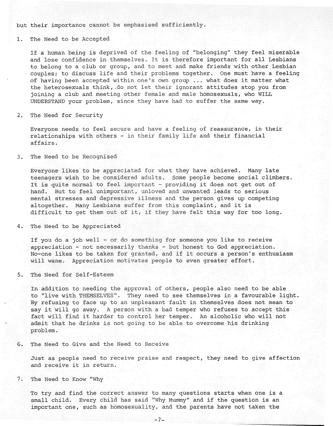but their importance cannot be emphasised sufficiently.

## 1. The Need to be Accepted

If a human being is deprived of the feeling of "belonging" they feel miserable and lose confidence in themselves. It is therefore important for all Lesbians to belong to a club or group, and to meet and make friends with other Lesbian couples; to discuss life and their problems together. One must have a feeling of having been accepted within one's own group .•. what does it matter what the heterosexuals think, .do not let their ignorant attitudes stop you from joining a club and meeting other female and male homosexuals, who WILL UNDERSTAND your problem, since they have had to suffer the same way.

2. The Need for Security

Everyone needs to feel secure and have a feeling of reassurance, in their relationships with others - in their family life and their financial affairs.

3. The Need to be Recognised

Everyone likes to be appreciated for what they have achieved. Many late teenagers wish to be considered adults. Some people become social climbers. It is quite normal to feel important - providing it does not get out of hand. But to feel unimportant, unloved and unwanted leads to serious mental stresses and depressive illness and the person gives up competing altogether. Many Lesbians suffer from this complaint, and it is difficult to get them out of it, if they have felt this way for too long.

4. The Need to be Appreciated

If you do a job well - or do something for someone you like to receive appreciation - not necessarily thanks - but honest to God appreciation. No-one likes to be taken for granted, and if it occurs a person's enthusiasm will wane. Appreciation motivates people to even greater effort.

5. The Need for Self-Esteem

In addition to needing the approval of others, people also need to be able to "live with THEMSELVES". They need to see themselves in a favourable light. By refusing to face up to an unpleasant fault in themselves does not mean to say it will go away. A person with a bad temper who refuses to accept this fact will find it harder to control her temper. An alcoholic who will not admit that he drinks is not going to be able to overcome his drinking problem.

6. The Need to Give and the Need to Receive

Just as people need to receive praise and respect, they need to give affection and receive it in return.

7. The Need to Know "Why

To try and find the correct answer to many questions starts when one is a small child. Every child has said "Why Mummy" and if the question is an important one, such as homosexuality, and the parents have not taken the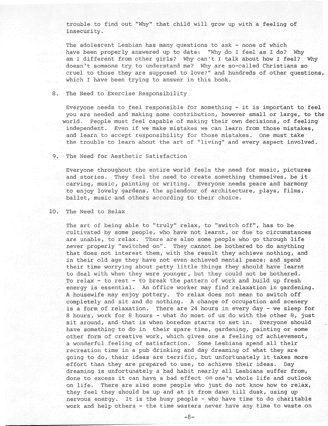trouble to find out "Why" that child will grow up with a feeling of insecurity.

The adolescent Lesbian has many questions to ask - none of which have been properly answered up to date: "Why do I feel as I do? Why am I different from other girls? Why can't I talk about how I feel? Why doesn't someone try to understand me? Why are so-called Christians so cruel to those they are supposed to love?" and hundreds of other questions, which I have been trying to answer in this book.

8. The Need to Exercise Responsibility

Everyone needs to feel responsible for something - it is important to feel you are needed and making some contribution, however small or large, to the world. People must feel capable of making their own decisions, of feeling independent. Even if we make mistakes we can learn from those mistakes, and learn to accept responsibility for those mistakes. One must take the trouble to learn about the art of "living" and every aspect involved.

9. The Need for Aesthetic Satisfaction

Everyone throughout the entire world feels the need for music, pictures and stories. They feel the need to create something themselves, be it ballet, music and others according to their choice. carving, music, painting or writing. Everyone needs peace and harmony to enjoy lovely gardens, the splendour of architecture, plays, films,

10. The Need to Relax

The art of being able to "truly" relax, to "switch off", has to be cultivated by some people, who have not learnt, or due to circumstances are unable, to relax. There are also some people who go through life never properly "switched on". They cannot be bothered to do anything that does not interest them, with the result they achieve nothing, and in their old age they have not even achieved mental peace; and spend their time worrying about petty little things they should have learnt to deal with when they were younger, but they could not be bothered. To relax - to rest - to break the pattern of work and build up fresh energy is essential. An office worker may find relaxation in gardening. A housewife may enjoy pottery. To relax does not mean to switch off completely and sit and do nothing. A change of occupation and scenery is a form of relaxation. There are 24 hours in every day - we sleep for 8 hours, work for 8 hours - what do most of us do with the other 8, just sit around, and that is when boredom starts to set in. Everyone should have something to do in their spare time, gardening, painting or some other form of creative work, which gives one a feeling of achievement, a wonderful feeling of satisfaction. Some Lesbians spend all their recreation time in a pub drinking and day dreaming of what they are going to do, their ideas are terrific, but unfortunately it takes more effort than they are prepared to use, to achieve their ideas. Day dreaming is unfortunately a bad habit nearly all Lesbians suffer from, done to excess it can have a bad effect on one's whole life and outlook on life. There are also some people who just do not know how to relax, they feel they should be up and at it from dawn till dusk, using up nervous energy. It is the busy people - who have time to do charitable work and help others - the time wasters never have any time to waste on